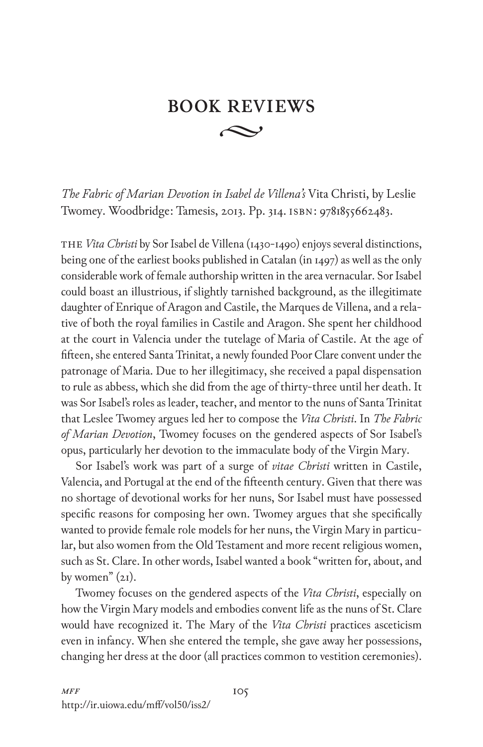## $\curvearrowright$ **BOOK REVIEWS**

*The Fabric of Marian Devotion in Isabel de Villena's* Vita Christi, by Leslie Twomey. Woodbridge: Tamesis, 2013. Pp. 314. isbn: 9781855662483.

The *Vita Christi* by Sor Isabel de Villena (1430-1490) enjoys several distinctions, being one of the earliest books published in Catalan (in 1497) as well as the only considerable work of female authorship written in the area vernacular. Sor Isabel could boast an illustrious, if slightly tarnished background, as the illegitimate daughter of Enrique of Aragon and Castile, the Marques de Villena, and a relative of both the royal families in Castile and Aragon. She spent her childhood at the court in Valencia under the tutelage of Maria of Castile. At the age of fifteen, she entered Santa Trinitat, a newly founded Poor Clare convent under the patronage of Maria. Due to her illegitimacy, she received a papal dispensation to rule as abbess, which she did from the age of thirty-three until her death. It was Sor Isabel's roles as leader, teacher, and mentor to the nuns of Santa Trinitat that Leslee Twomey argues led her to compose the *Vita Christi*. In *The Fabric of Marian Devotion*, Twomey focuses on the gendered aspects of Sor Isabel's opus, particularly her devotion to the immaculate body of the Virgin Mary.

Sor Isabel's work was part of a surge of *vitae Christi* written in Castile, Valencia, and Portugal at the end of the fifteenth century. Given that there was no shortage of devotional works for her nuns, Sor Isabel must have possessed specific reasons for composing her own. Twomey argues that she specifically wanted to provide female role models for her nuns, the Virgin Mary in particular, but also women from the Old Testament and more recent religious women, such as St. Clare. In other words, Isabel wanted a book "written for, about, and by women" (21).

Twomey focuses on the gendered aspects of the *Vita Christi*, especially on how the Virgin Mary models and embodies convent life as the nuns of St. Clare would have recognized it. The Mary of the *Vita Christi* practices asceticism even in infancy. When she entered the temple, she gave away her possessions, changing her dress at the door (all practices common to vestition ceremonies).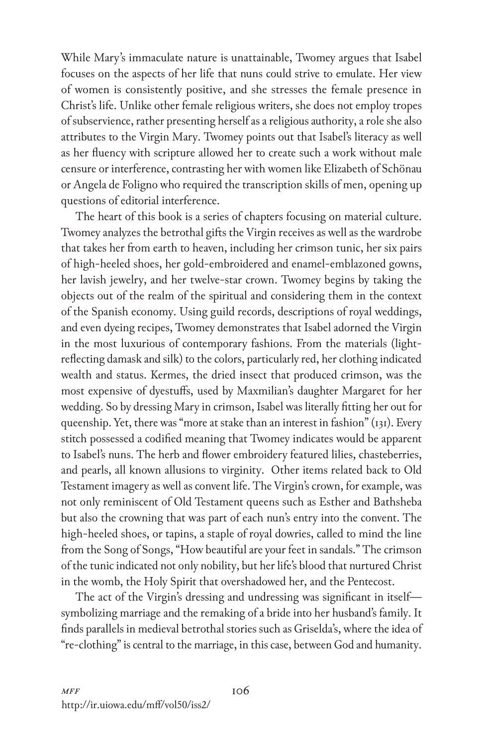While Mary's immaculate nature is unattainable, Twomey argues that Isabel focuses on the aspects of her life that nuns could strive to emulate. Her view of women is consistently positive, and she stresses the female presence in Christ's life. Unlike other female religious writers, she does not employ tropes of subservience, rather presenting herself as a religious authority, a role she also attributes to the Virgin Mary. Twomey points out that Isabel's literacy as well as her fluency with scripture allowed her to create such a work without male censure or interference, contrasting her with women like Elizabeth of Schönau or Angela de Foligno who required the transcription skills of men, opening up questions of editorial interference.

The heart of this book is a series of chapters focusing on material culture. Twomey analyzes the betrothal gifts the Virgin receives as well as the wardrobe that takes her from earth to heaven, including her crimson tunic, her six pairs of high-heeled shoes, her gold-embroidered and enamel-emblazoned gowns, her lavish jewelry, and her twelve-star crown. Twomey begins by taking the objects out of the realm of the spiritual and considering them in the context of the Spanish economy. Using guild records, descriptions of royal weddings, and even dyeing recipes, Twomey demonstrates that Isabel adorned the Virgin in the most luxurious of contemporary fashions. From the materials (lightreflecting damask and silk) to the colors, particularly red, her clothing indicated wealth and status. Kermes, the dried insect that produced crimson, was the most expensive of dyestuffs, used by Maxmilian's daughter Margaret for her wedding. So by dressing Mary in crimson, Isabel was literally fitting her out for queenship. Yet, there was "more at stake than an interest in fashion" (131). Every stitch possessed a codified meaning that Twomey indicates would be apparent to Isabel's nuns. The herb and flower embroidery featured lilies, chasteberries, and pearls, all known allusions to virginity. Other items related back to Old Testament imagery as well as convent life. The Virgin's crown, for example, was not only reminiscent of Old Testament queens such as Esther and Bathsheba but also the crowning that was part of each nun's entry into the convent. The high-heeled shoes, or tapins, a staple of royal dowries, called to mind the line from the Song of Songs, "How beautiful are your feet in sandals." The crimson of the tunic indicated not only nobility, but her life's blood that nurtured Christ in the womb, the Holy Spirit that overshadowed her, and the Pentecost.

The act of the Virgin's dressing and undressing was significant in itself symbolizing marriage and the remaking of a bride into her husband's family. It finds parallels in medieval betrothal stories such as Griselda's, where the idea of "re-clothing" is central to the marriage, in this case, between God and humanity.